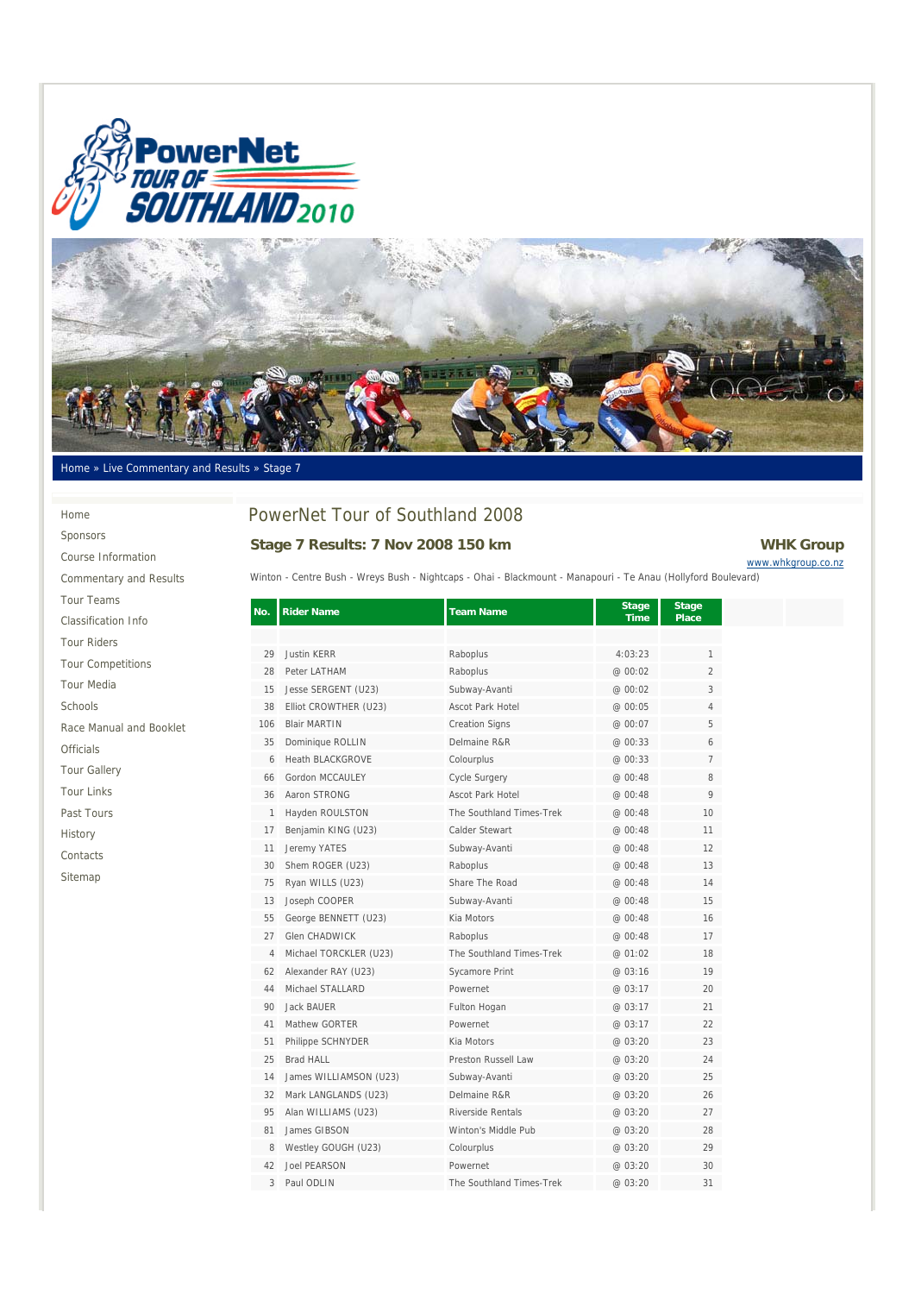



#### Home » Live Commentary and Results » Stage 7

#### Home

Past Tours History Contacts Sitemap

Sponsors Course Information Commentary and Results Tour Teams Classification Info Tour Riders Tour Competitions Tour Media Schools Race Manual and Booklet Officials Tour Gallery Tour Links

# PowerNet Tour of Southland 2008

### Stage 7 Results: 7 Nov 2008 150 km **WHK Group**

# www.whkgroup.co.nz

Winton - Centre Bush - Wreys Bush - Nightcaps - Ohai - Blackmount - Manapouri - Te Anau (Hollyford Boulevard)

| No. | <b>Rider Name</b>       | <b>Team Name</b>         | Stage<br><b>Time</b> | <b>Stage</b><br>Place |  |
|-----|-------------------------|--------------------------|----------------------|-----------------------|--|
|     |                         |                          |                      |                       |  |
| 29  | <b>Justin KERR</b>      | Raboplus                 | 4:03:23              | 1                     |  |
| 28  | Peter LATHAM            | Raboplus                 | @ 00:02              | $\overline{2}$        |  |
| 15  | Jesse SERGENT (U23)     | Subway-Avanti            | @ 00:02              | 3                     |  |
| 38  | Elliot CROWTHER (U23)   | Ascot Park Hotel         | @ 00:05              | 4                     |  |
| 106 | <b>Blair MARTIN</b>     | <b>Creation Signs</b>    | @ 00:07              | 5                     |  |
| 35  | Dominique ROLLIN        | Delmaine R&R             | @ 00:33              | 6                     |  |
| 6   | <b>Heath BLACKGROVE</b> | Colourplus               | @ 00:33              | $\overline{7}$        |  |
| 66  | Gordon MCCAULEY         | <b>Cycle Surgery</b>     | @ 00:48              | 8                     |  |
| 36  | Aaron STRONG            | <b>Ascot Park Hotel</b>  | @ 00:48              | 9                     |  |
| 1   | Hayden ROULSTON         | The Southland Times-Trek | @ 00:48              | 10                    |  |
| 17  | Benjamin KING (U23)     | Calder Stewart           | @ 00:48              | 11                    |  |
| 11  | Jeremy YATES            | Subway-Avanti            | @ 00:48              | 12                    |  |
| 30  | Shem ROGER (U23)        | Raboplus                 | @ 00:48              | 13                    |  |
| 75  | Ryan WILLS (U23)        | Share The Road           | @ 00:48              | 14                    |  |
| 13  | Joseph COOPER           | Subway-Avanti            | @ 00:48              | 15                    |  |
| 55  | George BENNETT (U23)    | Kia Motors               | @ 00:48              | 16                    |  |
| 27  | <b>Glen CHADWICK</b>    | Raboplus                 | @ 00:48              | 17                    |  |
| 4   | Michael TORCKLER (U23)  | The Southland Times-Trek | @ 01:02              | 18                    |  |
| 62  | Alexander RAY (U23)     | Sycamore Print           | @ 03:16              | 19                    |  |
| 44  | Michael STALLARD        | Powernet                 | @ 03:17              | 20                    |  |
| 90  | Jack BAUER              | Fulton Hogan             | @ 03:17              | 21                    |  |
| 41  | Mathew GORTER           | Powernet                 | @ 03:17              | 22                    |  |
| 51  | Philippe SCHNYDER       | Kia Motors               | @ 03:20              | 23                    |  |
| 25  | <b>Brad HALL</b>        | Preston Russell Law      | @ 03:20              | 24                    |  |
| 14  | James WILLIAMSON (U23)  | Subway-Avanti            | @ 03:20              | 25                    |  |
| 32  | Mark LANGLANDS (U23)    | Delmaine R&R             | @ 03:20              | 26                    |  |
| 95  | Alan WILLIAMS (U23)     | Riverside Rentals        | @ 03:20              | 27                    |  |
| 81  | James GIBSON            | Winton's Middle Pub      | @ 03:20              | 28                    |  |
| 8   | Westley GOUGH (U23)     | Colourplus               | @ 03:20              | 29                    |  |
| 42  | <b>Joel PEARSON</b>     | Powernet                 | @ 03:20              | 30                    |  |
| 3   | Paul ODLIN              | The Southland Times-Trek | @ 03:20              | 31                    |  |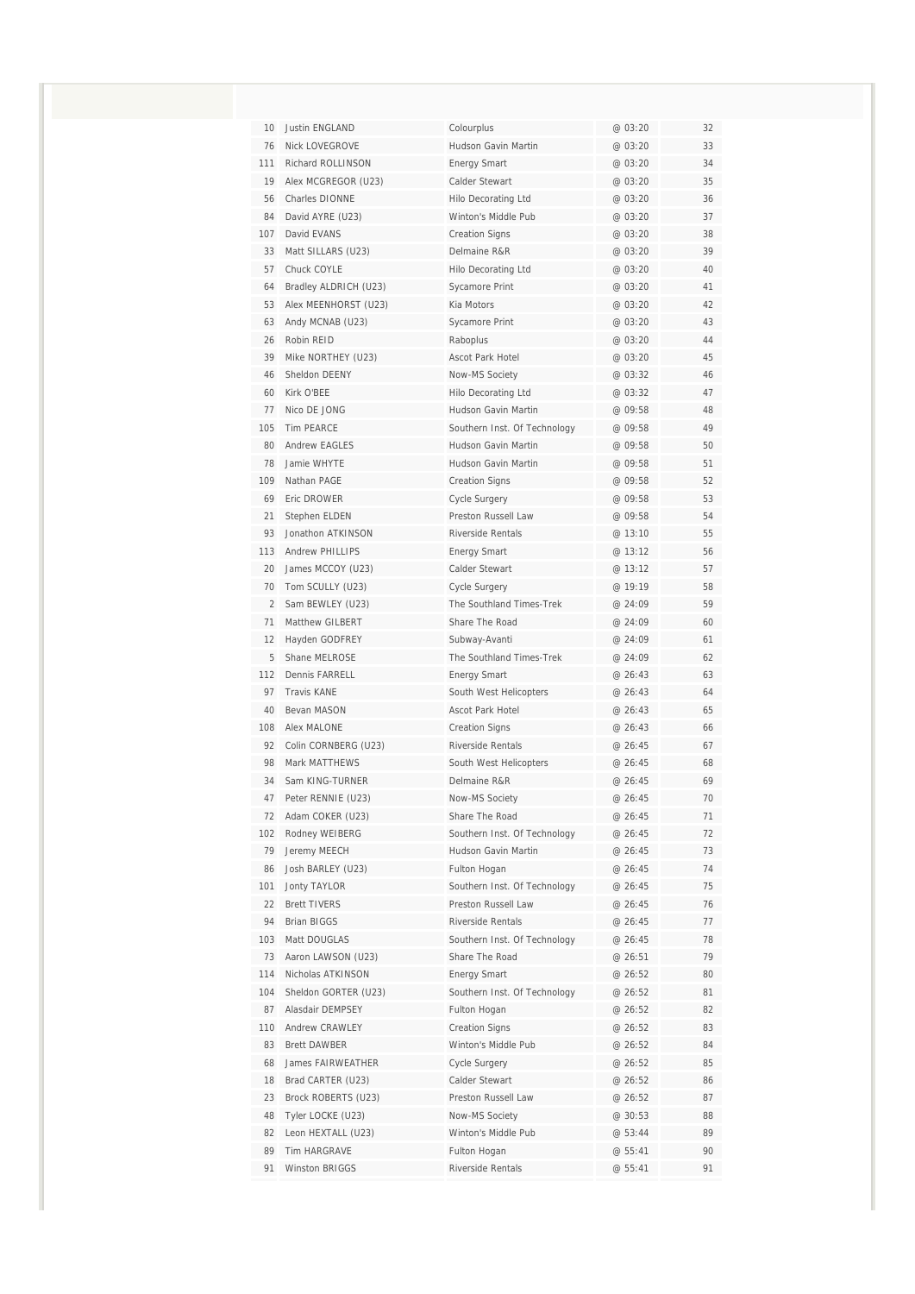| 10             | Justin ENGLAND                      | Colourplus                                 | @ 03:20            | 32       |
|----------------|-------------------------------------|--------------------------------------------|--------------------|----------|
| 76             | <b>Nick LOVEGROVE</b>               | Hudson Gavin Martin                        | @ 03:20            | 33       |
| 111            | Richard ROLLINSON                   | <b>Energy Smart</b>                        | @ 03:20            | 34       |
| 19             | Alex MCGREGOR (U23)                 | Calder Stewart                             | @ 03:20            | 35       |
| 56             | <b>Charles DIONNE</b>               | <b>Hilo Decorating Ltd</b>                 | @ 03:20            | 36       |
| 84             | David AYRE (U23)                    | Winton's Middle Pub                        | @ 03:20            | 37       |
| 107            | David EVANS                         | <b>Creation Signs</b>                      | @ 03:20            | 38       |
| 33             | Matt SILLARS (U23)                  | Delmaine R&R                               | @ 03:20            | 39       |
| 57             | Chuck COYLE                         | <b>Hilo Decorating Ltd</b>                 | @ 03:20            | 40       |
| 64             | Bradley ALDRICH (U23)               | Sycamore Print                             | @ 03:20            | 41       |
| 53             | Alex MEENHORST (U23)                | Kia Motors                                 | @ 03:20            | 42       |
| 63             | Andy MCNAB (U23)                    | Sycamore Print                             | @03:20             | 43       |
| 26             | Robin REID                          | Raboplus                                   | @ 03:20            | 44       |
| 39<br>46       | Mike NORTHEY (U23)<br>Sheldon DEENY | Ascot Park Hotel                           | @ 03:20            | 45<br>46 |
| 60             | Kirk O'BEE                          | Now-MS Society                             | @ 03:32<br>@ 03:32 | 47       |
| 77             | Nico DE JONG                        | Hilo Decorating Ltd<br>Hudson Gavin Martin | @ 09:58            | 48       |
| 105            | <b>Tim PEARCE</b>                   | Southern Inst. Of Technology               | @ 09:58            | 49       |
| 80             | Andrew FAGLES                       | Hudson Gavin Martin                        | @ 09:58            | 50       |
| 78             | Jamie WHYTF                         | Hudson Gavin Martin                        | @ 09:58            | 51       |
| 109            | Nathan PAGE                         | <b>Creation Signs</b>                      | @ 09:58            | 52       |
| 69             | Eric DROWER                         |                                            | @ 09:58            | 53       |
| 21             | Stephen ELDEN                       | Cycle Surgery<br>Preston Russell Law       | @ 09:58            | 54       |
| 93             | Jonathon ATKINSON                   | <b>Riverside Rentals</b>                   | @ 13:10            | 55       |
| 113            | <b>Andrew PHILLIPS</b>              | <b>Energy Smart</b>                        | @ 13:12            | 56       |
| 20             | James MCCOY (U23)                   | Calder Stewart                             | @ 13:12            | 57       |
| 70             | Tom SCULLY (U23)                    | <b>Cycle Surgery</b>                       | @ 19:19            | 58       |
| $\overline{2}$ | Sam BEWLEY (U23)                    | The Southland Times-Trek                   | @ 24:09            | 59       |
| 71             | Matthew GILBERT                     | Share The Road                             | @ 24:09            | 60       |
| 12             | Hayden GODFREY                      | Subway-Avanti                              | @ 24:09            | 61       |
| 5              | Shane MELROSE                       | The Southland Times-Trek                   | @ 24:09            | 62       |
| 112            | Dennis FARRELL                      | <b>Energy Smart</b>                        | @ 26:43            | 63       |
| 97             | <b>Travis KANE</b>                  | South West Helicopters                     | @ 26:43            | 64       |
| 40             | Bevan MASON                         | Ascot Park Hotel                           | @ 26:43            | 65       |
| 108            | Alex MALONE                         | <b>Creation Signs</b>                      | @ 26:43            | 66       |
| 92             | Colin CORNBERG (U23)                | Riverside Rentals                          | @ 26:45            | 67       |
| 98             | Mark MATTHEWS                       | South West Helicopters                     | @ 26:45            | 68       |
| 34             | Sam KING-TURNER                     | Delmaine R&R                               | @ 26:45            | 69       |
| 47             | Peter RENNIE (U23)                  | Now-MS Society                             | @ 26:45            | 70       |
| 72             | Adam COKER (U23)                    | Share The Road                             | @ 26:45            | 71       |
| 102            | Rodney WEIBERG                      | Southern Inst. Of Technology               | @ 26:45            | 72       |
| 79             | Jeremy MEECH                        | Hudson Gavin Martin                        | @ 26:45            | 73       |
| 86             | Josh BARLEY (U23)                   | Fulton Hogan                               | @ 26:45            | 74       |
| 101            | <b>Jonty TAYLOR</b>                 | Southern Inst. Of Technology               | @ 26:45            | 75       |
| 22             | <b>Brett TIVERS</b>                 | Preston Russell Law                        | @ 26:45            | 76       |
| 94             | Brian BIGGS                         | Riverside Rentals                          | @ 26:45            | 77       |
| 103            | Matt DOUGLAS                        | Southern Inst. Of Technology               | @ 26:45            | 78       |
| 73             | Aaron LAWSON (U23)                  | Share The Road                             | @ 26:51            | 79       |
| 114            | Nicholas ATKINSON                   | <b>Energy Smart</b>                        | @ 26:52            | 80       |
| 104            | Sheldon GORTER (U23)                | Southern Inst. Of Technology               | @ 26:52            | 81       |
| 87             | Alasdair DEMPSEY                    | Fulton Hogan                               | @ 26:52            | 82       |
| 110            | Andrew CRAWLEY                      | <b>Creation Signs</b>                      | @ 26:52            | 83       |
| 83             | <b>Brett DAWBER</b>                 | Winton's Middle Pub                        | @ 26:52            | 84       |
| 68             | James FAIRWEATHER                   | Cycle Surgery                              | @ 26:52            | 85       |
| 18             | Brad CARTER (U23)                   | Calder Stewart                             | @ 26:52            | 86       |
| 23             | Brock ROBERTS (U23)                 | Preston Russell Law                        | @ 26:52            | 87       |
| 48             | Tyler LOCKE (U23)                   | Now-MS Society                             | @ 30:53            | 88       |
| 82             | Leon HEXTALL (U23)                  | Winton's Middle Pub                        | @ 53:44            | 89       |
| 89             | Tim HARGRAVE                        | Fulton Hogan                               | @ 55:41            | 90       |
| 91             | <b>Winston BRIGGS</b>               | Riverside Rentals                          | @ 55:41            | 91       |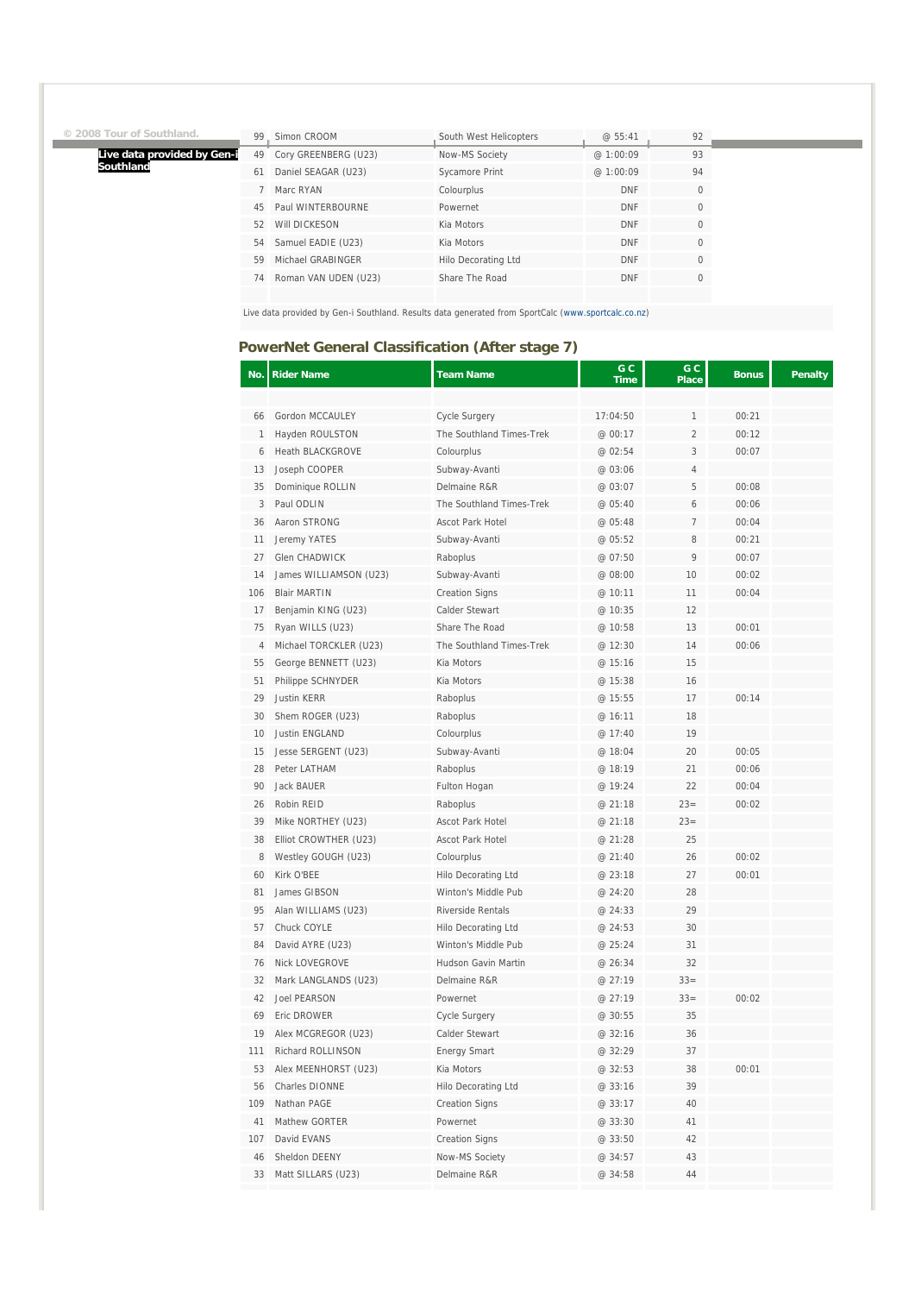|  | © 2008 Tour of Southland. |  |  |
|--|---------------------------|--|--|
|  |                           |  |  |

Î.

**Live data provided by Gen-i Southland**

| 99 | Simon CROOM          | South West Helicopters | @ 55:41    | 92       |
|----|----------------------|------------------------|------------|----------|
| 49 | Cory GREENBERG (U23) | Now-MS Society         | @1:00:09   | 93       |
| 61 | Daniel SEAGAR (U23)  | Sycamore Print         | @1:00:09   | 94       |
|    | Marc RYAN            | Colourplus             | <b>DNF</b> | $\Omega$ |
| 45 | Paul WINTERBOURNE    | Powernet               | <b>DNF</b> | $\Omega$ |
| 52 | WIII DICKESON        | Kia Motors             | <b>DNF</b> | $\Omega$ |
| 54 | Samuel EADIE (U23)   | Kia Motors             | <b>DNF</b> | $\Omega$ |
| 59 | Michael GRABINGER    | Hilo Decorating Ltd    | <b>DNF</b> | $\Omega$ |
| 74 | Roman VAN UDEN (U23) | Share The Road         | <b>DNF</b> | $\Omega$ |
|    |                      |                        |            |          |

Live data provided by Gen-i Southland. Results data generated from SportCalc (www.sportcalc.co.nz)

### **PowerNet General Classification (After stage 7)**

| No. | <b>Rider Name</b>       | <b>Team Name</b>           | G C<br><b>Time</b> | G C<br><b>Place</b> | <b>Bonus</b> | <b>Penalty</b> |
|-----|-------------------------|----------------------------|--------------------|---------------------|--------------|----------------|
|     |                         |                            |                    |                     |              |                |
| 66  | Gordon MCCAULEY         | Cycle Surgery              | 17:04:50           | 1                   | 00:21        |                |
| 1   | Hayden ROULSTON         | The Southland Times-Trek   | @ 00:17            | $\overline{2}$      | 00:12        |                |
| 6   | <b>Heath BLACKGROVE</b> | Colourplus                 | @ 02:54            | 3                   | 00:07        |                |
| 13  | Joseph COOPER           | Subway-Avanti              | @ 03:06            | $\overline{4}$      |              |                |
| 35  | Dominique ROLLIN        | Delmaine R&R               | @ 03:07            | 5                   | 00:08        |                |
| 3   | Paul ODLIN              | The Southland Times-Trek   | @ 05:40            | 6                   | 00:06        |                |
| 36  | Aaron STRONG            | <b>Ascot Park Hotel</b>    | @ 05:48            | 7                   | 00:04        |                |
| 11  | Jeremy YATES            | Subway-Avanti              | @ 05:52            | 8                   | 00:21        |                |
| 27  | Glen CHADWICK           | Raboplus                   | @ 07:50            | 9                   | 00:07        |                |
| 14  | James WILLIAMSON (U23)  | Subway-Avanti              | @ 08:00            | 10                  | 00:02        |                |
| 106 | <b>Blair MARTIN</b>     | <b>Creation Signs</b>      | @ 10:11            | 11                  | 00:04        |                |
| 17  | Benjamin KING (U23)     | Calder Stewart             | @ 10:35            | 12                  |              |                |
| 75  | Ryan WILLS (U23)        | Share The Road             | @ 10:58            | 13                  | 00:01        |                |
| 4   | Michael TORCKLER (U23)  | The Southland Times-Trek   | @ 12:30            | 14                  | 00:06        |                |
| 55  | George BENNETT (U23)    | Kia Motors                 | @ 15:16            | 15                  |              |                |
| 51  | Philippe SCHNYDER       | Kia Motors                 | @ 15:38            | 16                  |              |                |
| 29  | <b>Justin KERR</b>      | Raboplus                   | @ 15:55            | 17                  | 00:14        |                |
| 30  | Shem ROGER (U23)        | Raboplus                   | @ 16:11            | 18                  |              |                |
| 10  | <b>Justin ENGLAND</b>   | Colourplus                 | @ 17:40            | 19                  |              |                |
| 15  | Jesse SERGENT (U23)     | Subway-Avanti              | @ 18:04            | 20                  | 00:05        |                |
| 28  | Peter LATHAM            | Raboplus                   | @ 18:19            | 21                  | 00:06        |                |
| 90  | <b>Jack BAUER</b>       | Fulton Hogan               | @ 19:24            | 22                  | 00:04        |                |
| 26  | Robin REID              | Raboplus                   | @ 21:18            | $23=$               | 00:02        |                |
| 39  | Mike NORTHEY (U23)      | Ascot Park Hotel           | @ 21:18            | $23=$               |              |                |
| 38  | Elliot CROWTHER (U23)   | Ascot Park Hotel           | @ 21:28            | 25                  |              |                |
| 8   | Westley GOUGH (U23)     | Colourplus                 | @ 21:40            | 26                  | 00:02        |                |
| 60  | Kirk O'BEE              | Hilo Decorating Ltd        | @ 23:18            | 27                  | 00:01        |                |
| 81  | James GIBSON            | Winton's Middle Pub        | @ 24:20            | 28                  |              |                |
| 95  | Alan WILLIAMS (U23)     | Riverside Rentals          | @ 24:33            | 29                  |              |                |
| 57  | Chuck COYLE             | Hilo Decorating Ltd        | @ 24:53            | 30                  |              |                |
| 84  | David AYRE (U23)        | Winton's Middle Pub        | @ 25:24            | 31                  |              |                |
| 76  | Nick LOVEGROVE          | <b>Hudson Gavin Martin</b> | @ 26:34            | 32                  |              |                |
| 32  | Mark LANGLANDS (U23)    | Delmaine R&R               | @ 27:19            | $33 =$              |              |                |
| 42  | <b>Joel PEARSON</b>     | Powernet                   | @ 27:19            | $33=$               | 00:02        |                |
| 69  | Eric DROWER             | Cycle Surgery              | @ 30:55            | 35                  |              |                |
| 19  | Alex MCGREGOR (U23)     | Calder Stewart             | @ 32:16            | 36                  |              |                |
| 111 | Richard ROLLINSON       | <b>Energy Smart</b>        | @ 32:29            | 37                  |              |                |
| 53  | Alex MEENHORST (U23)    | Kia Motors                 | @ 32:53            | 38                  | 00:01        |                |
| 56  | Charles DIONNE          | <b>Hilo Decorating Ltd</b> | @ 33:16            | 39                  |              |                |
| 109 | Nathan PAGE             | <b>Creation Signs</b>      | @ 33:17            | 40                  |              |                |
| 41  | Mathew GORTER           | Powernet                   | @ 33:30            | 41                  |              |                |
| 107 | David EVANS             | <b>Creation Signs</b>      | @ 33:50            | 42                  |              |                |
| 46  | Sheldon DEENY           | Now-MS Society             | @ 34:57            | 43                  |              |                |
| 33  | Matt SILLARS (U23)      | Delmaine R&R               | @ 34:58            | 44                  |              |                |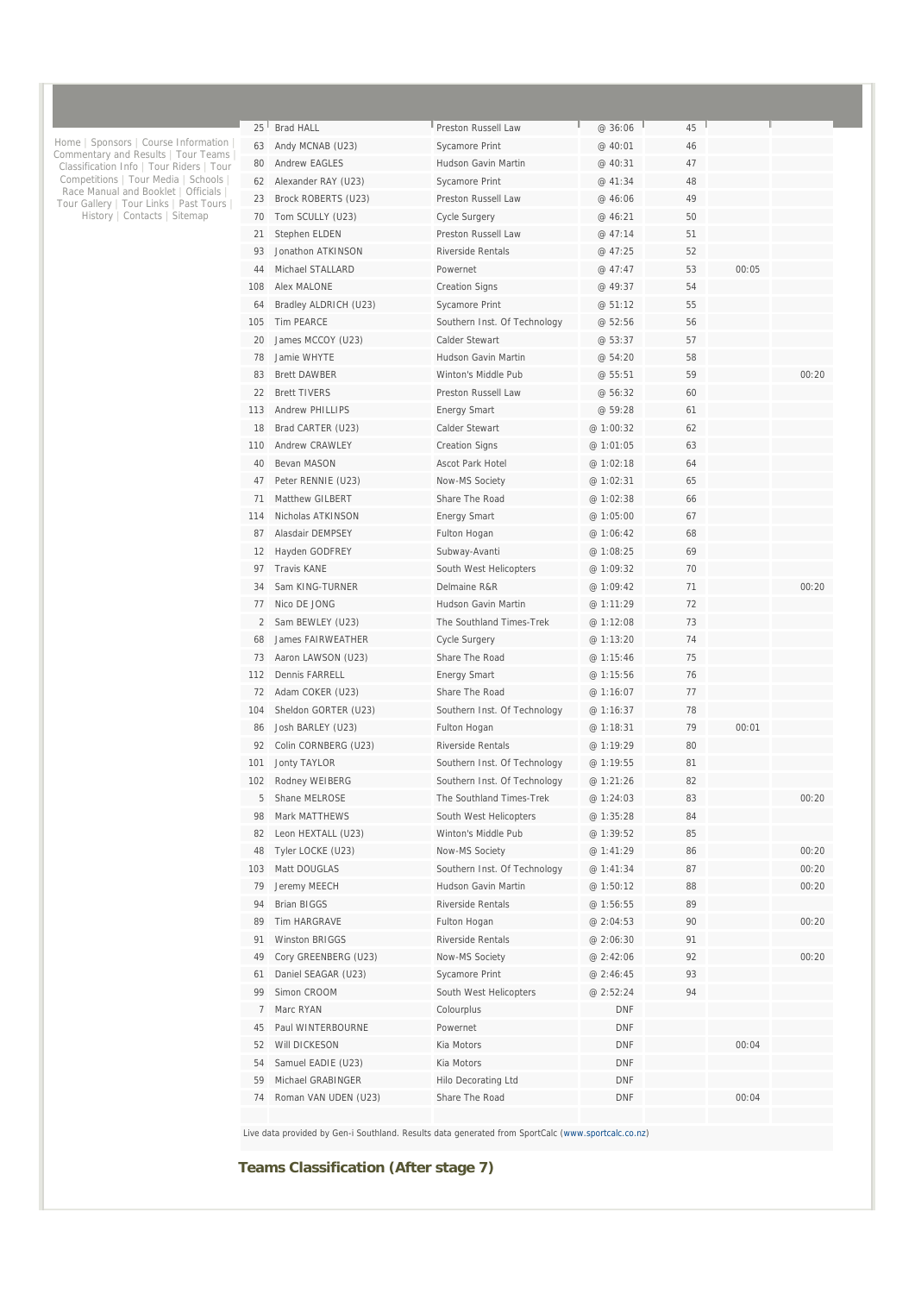| $25^{\frac{1}{2}}$ | <b>Brad HALL</b>       | Preston Russell Law          | @ 36:06    | 45 |       |       |
|--------------------|------------------------|------------------------------|------------|----|-------|-------|
| 63                 | Andy MCNAB (U23)       | <b>Sycamore Print</b>        | @ 40:01    | 46 |       |       |
| 80                 | <b>Andrew EAGLES</b>   | Hudson Gavin Martin          | @ 40:31    | 47 |       |       |
| 62                 | Alexander RAY (U23)    | Sycamore Print               | @ 41:34    | 48 |       |       |
| 23                 | Brock ROBERTS (U23)    | Preston Russell Law          | @ 46:06    | 49 |       |       |
| 70                 | Tom SCULLY (U23)       | Cycle Surgery                | @ 46:21    | 50 |       |       |
| 21                 | Stephen ELDEN          | Preston Russell Law          | @ 47:14    | 51 |       |       |
| 93                 | Jonathon ATKINSON      | Riverside Rentals            | @ 47:25    | 52 |       |       |
| 44                 | Michael STALLARD       | Powernet                     | @ 47:47    | 53 | 00:05 |       |
| 108                | Alex MALONE            | <b>Creation Signs</b>        | @ 49:37    | 54 |       |       |
| 64                 | Bradley ALDRICH (U23)  | Sycamore Print               | @ 51:12    | 55 |       |       |
| 105                | <b>Tim PEARCE</b>      | Southern Inst. Of Technology | @ 52:56    | 56 |       |       |
| 20                 | James MCCOY (U23)      | Calder Stewart               | @ 53:37    | 57 |       |       |
| 78                 | Jamie WHYTE            | Hudson Gavin Martin          | @ 54:20    | 58 |       |       |
| 83                 | <b>Brett DAWBER</b>    | Winton's Middle Pub          | @ 55:51    | 59 |       | 00:20 |
| 22                 | <b>Brett TIVERS</b>    | Preston Russell Law          | @ 56:32    | 60 |       |       |
| 113                | <b>Andrew PHILLIPS</b> |                              | @ 59:28    | 61 |       |       |
|                    |                        | <b>Energy Smart</b>          |            |    |       |       |
| 18                 | Brad CARTER (U23)      | Calder Stewart               | @ 1:00:32  | 62 |       |       |
| 110                | Andrew CRAWLEY         | <b>Creation Signs</b>        | @ 1:01:05  | 63 |       |       |
| 40                 | Bevan MASON            | <b>Ascot Park Hotel</b>      | @ 1:02:18  | 64 |       |       |
| 47                 | Peter RENNIE (U23)     | Now-MS Society               | @ 1:02:31  | 65 |       |       |
| 71                 | Matthew GILBERT        | Share The Road               | @ 1:02:38  | 66 |       |       |
| 114                | Nicholas ATKINSON      | <b>Energy Smart</b>          | @ 1:05:00  | 67 |       |       |
| 87                 | Alasdair DEMPSEY       | Fulton Hogan                 | @ 1:06:42  | 68 |       |       |
| 12                 | Hayden GODFREY         | Subway-Avanti                | @ 1:08:25  | 69 |       |       |
| 97                 | <b>Travis KANE</b>     | South West Helicopters       | @ 1:09:32  | 70 |       |       |
| 34                 | Sam KING-TURNER        | Delmaine R&R                 | @ 1:09:42  | 71 |       | 00:20 |
| 77                 | Nico DE JONG           | Hudson Gavin Martin          | @ 1:11:29  | 72 |       |       |
| $\overline{2}$     | Sam BEWLEY (U23)       | The Southland Times-Trek     | @ 1:12:08  | 73 |       |       |
| 68                 | James FAIRWEATHER      | Cycle Surgery                | @ 1:13:20  | 74 |       |       |
| 73                 | Aaron LAWSON (U23)     | Share The Road               | @ 1:15:46  | 75 |       |       |
| 112                | Dennis FARRELL         | <b>Energy Smart</b>          | @ 1:15:56  | 76 |       |       |
| 72                 | Adam COKER (U23)       | Share The Road               | @ 1:16:07  | 77 |       |       |
| 104                | Sheldon GORTER (U23)   | Southern Inst. Of Technology | @ 1:16:37  | 78 |       |       |
| 86                 | Josh BARLEY (U23)      | Fulton Hogan                 | @ 1:18:31  | 79 | 00:01 |       |
| 92                 | Colin CORNBERG (U23)   | Riverside Rentals            | @ 1:19:29  | 80 |       |       |
| 101                | <b>Jonty TAYLOR</b>    | Southern Inst. Of Technology | @ 1:19:55  | 81 |       |       |
| 102                | Rodney WEIBERG         | Southern Inst. Of Technology | @ 1:21:26  | 82 |       |       |
| 5                  | Shane MELROSE          | The Southland Times-Trek     | @ 1:24:03  | 83 |       | 00:20 |
| 98                 | Mark MATTHEWS          | South West Helicopters       | @ 1:35:28  | 84 |       |       |
| 82                 | Leon HEXTALL (U23)     | Winton's Middle Pub          | @ 1:39:52  | 85 |       |       |
| 48                 | Tyler LOCKE (U23)      | Now-MS Society               | @ 1:41:29  | 86 |       | 00:20 |
| 103                | Matt DOUGLAS           | Southern Inst. Of Technology | @ 1:41:34  | 87 |       | 00:20 |
| 79                 | Jeremy MEECH           | Hudson Gavin Martin          | @ 1:50:12  | 88 |       | 00:20 |
| 94                 | <b>Brian BIGGS</b>     | Riverside Rentals            | @ 1:56:55  | 89 |       |       |
| 89                 | Tim HARGRAVE           | Fulton Hogan                 | @ 2:04:53  | 90 |       | 00:20 |
| 91                 | Winston BRIGGS         | Riverside Rentals            | @ 2:06:30  | 91 |       |       |
| 49                 |                        |                              |            |    |       |       |
|                    | Cory GREENBERG (U23)   | Now-MS Society               | @ 2:42:06  | 92 |       | 00:20 |
| 61                 | Daniel SEAGAR (U23)    | Sycamore Print               | @ 2:46:45  | 93 |       |       |
| 99                 | Simon CROOM            | South West Helicopters       | @ 2:52:24  | 94 |       |       |
| 7                  | Marc RYAN              | Colourplus                   | DNF        |    |       |       |
| 45                 | Paul WINTERBOURNE      | Powernet                     | <b>DNF</b> |    |       |       |
| 52                 | Will DICKESON          | Kia Motors                   | <b>DNF</b> |    | 00:04 |       |
| 54                 | Samuel EADIE (U23)     | Kia Motors                   | DNF        |    |       |       |
| 59                 | Michael GRABINGER      | <b>Hilo Decorating Ltd</b>   | DNF        |    |       |       |
| 74                 | Roman VAN UDEN (U23)   | Share The Road               | <b>DNF</b> |    | 00:04 |       |
|                    |                        |                              |            |    |       |       |

Live data provided by Gen-i Southland. Results data generated from SportCalc (www.sportcalc.co.nz)

**Teams Classification (After stage 7)** 

Home | Sponsors | Course Information | Commentary and Results | Tour Teams | Classification Info | Tour Riders | Tour Competitions | Tour Media | Schools | Race Manual and Booklet | Officials | Tour Gallery | Tour Links | Past Tours | History | Contacts | Sitemap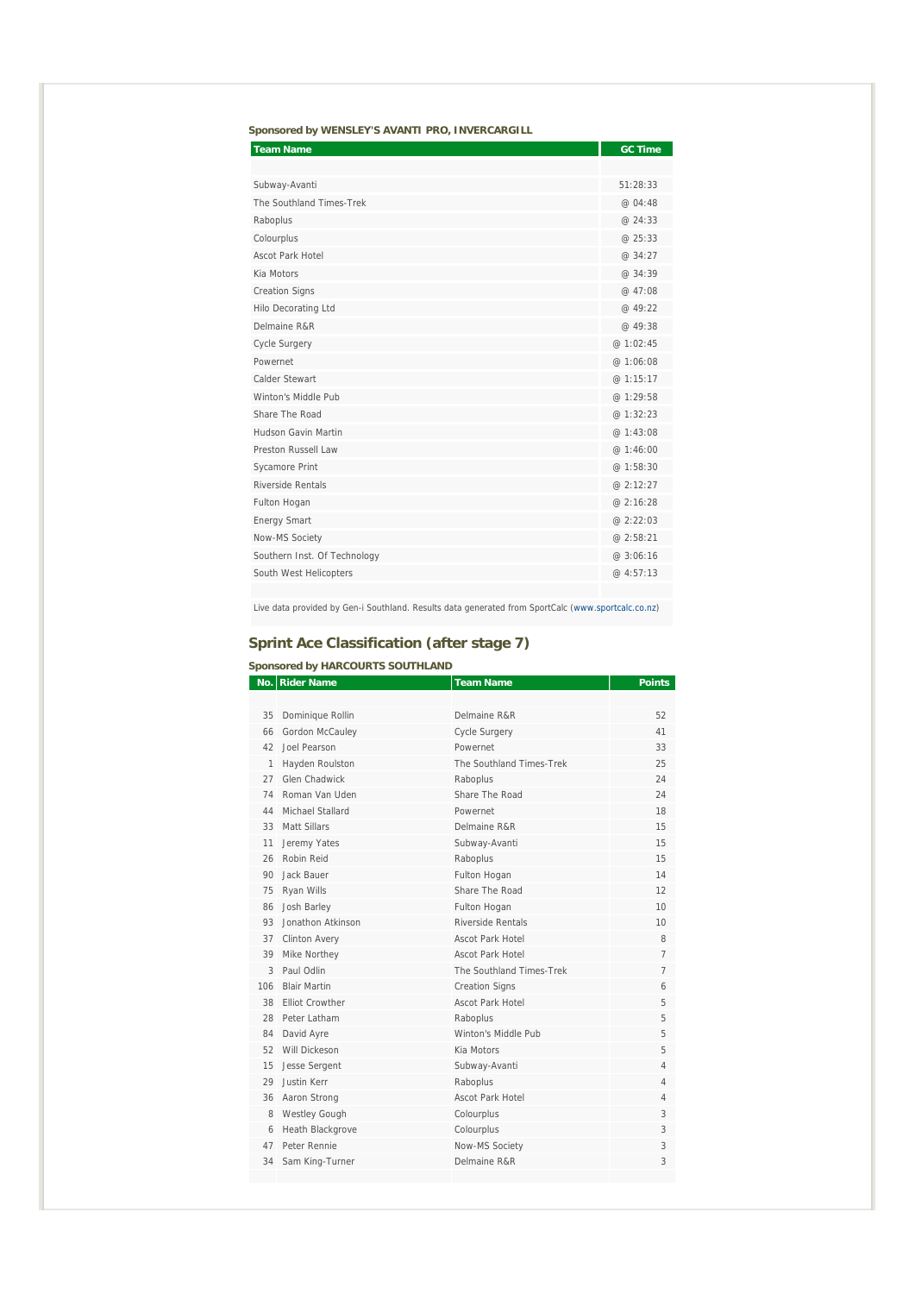|  |  | Sponsored by WENSLEY'S AVANTI PRO, INVERCARGILL |
|--|--|-------------------------------------------------|

| <b>Team Name</b>             | <b>GC Time</b> |
|------------------------------|----------------|
|                              |                |
| Subway-Avanti                | 51:28:33       |
| The Southland Times-Trek     | @ 04:48        |
| Raboplus                     | @ 24:33        |
| Colourplus                   | @25:33         |
| Ascot Park Hotel             | @ 34:27        |
| Kia Motors                   | @ 34:39        |
| <b>Creation Signs</b>        | @ 47:08        |
| <b>Hilo Decorating Ltd</b>   | @ 49:22        |
| Delmaine R&R                 | @ 49:38        |
| Cycle Surgery                | @ 1:02:45      |
| Powernet                     | @ 1:06:08      |
| Calder Stewart               | @ 1:15:17      |
| Winton's Middle Pub          | @ 1:29:58      |
| Share The Road               | @ 1:32:23      |
| <b>Hudson Gavin Martin</b>   | @ 1:43:08      |
| Preston Russell Law          | @1:46:00       |
| <b>Sycamore Print</b>        | @ 1:58:30      |
| Riverside Rentals            | @ 2:12:27      |
| Fulton Hogan                 | @ 2:16:28      |
| <b>Energy Smart</b>          | @ 2:22:03      |
| Now-MS Society               | @ 2:58:21      |
| Southern Inst. Of Technology | @ 3:06:16      |
| South West Helicopters       | @ 4:57:13      |
|                              |                |

Live data provided by Gen-i Southland. Results data generated from SportCalc (www.sportcalc.co.nz)

### **Sprint Ace Classification (after stage 7)**

### **Sponsored by HARCOURTS SOUTHLAND**

|     | No.   Rider Name     | <b>Team Name</b>         | <b>Points</b>  |
|-----|----------------------|--------------------------|----------------|
|     |                      |                          |                |
| 35  | Dominique Rollin     | Delmaine R&R             | 52             |
| 66  | Gordon McCauley      | Cycle Surgery            | 41             |
| 42  | <b>Joel Pearson</b>  | Powernet                 | 33             |
| 1   | Hayden Roulston      | The Southland Times-Trek | 25             |
| 27  | Glen Chadwick        | Raboplus                 | 24             |
| 74  | Roman Van Uden       | Share The Road           | 24             |
| 44  | Michael Stallard     | Powernet                 | 18             |
| 33  | Matt Sillars         | Delmaine R&R             | 15             |
| 11  | Jeremy Yates         | Subway-Avanti            | 15             |
| 26  | Robin Reid           | Raboplus                 | 15             |
| 90  | Jack Bauer           | Fulton Hogan             | 14             |
| 75  | Ryan Wills           | Share The Road           | 12             |
| 86  | Josh Barley          | Fulton Hogan             | 10             |
| 93  | Jonathon Atkinson    | Riverside Rentals        | 10             |
| 37  | <b>Clinton Avery</b> | Ascot Park Hotel         | 8              |
| 39  | Mike Northey         | <b>Ascot Park Hotel</b>  | $\overline{7}$ |
| 3   | Paul Odlin           | The Southland Times-Trek | 7              |
| 106 | <b>Blair Martin</b>  | <b>Creation Signs</b>    | 6              |
|     | 38 Filiot Crowther   | Ascot Park Hotel         | 5              |
| 28  | Peter Latham         | Raboplus                 | 5              |
| 84  | David Ayre           | Winton's Middle Pub      | 5              |
| 52  | Will Dickeson        | Kia Motors               | 5              |
| 15  | Jesse Sergent        | Subway-Avanti            | 4              |
| 29  | Justin Kerr          | Raboplus                 | $\overline{4}$ |
| 36  | Aaron Strong         | Ascot Park Hotel         | $\overline{4}$ |
| 8   | <b>Westley Gough</b> | Colourplus               | 3              |
| 6   | Heath Blackgrove     | Colourplus               | 3              |
| 47  | Peter Rennie         | Now-MS Society           | 3              |
| 34  | Sam King-Turner      | Delmaine R&R             | 3              |
|     |                      |                          |                |